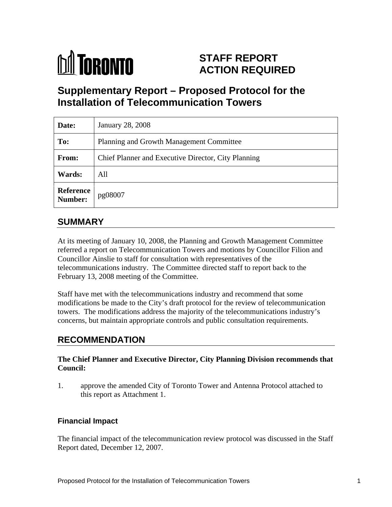

# **STAFF REPORT ACTION REQUIRED**

# **Supplementary Report – Proposed Protocol for the Installation of Telecommunication Towers**

| Date:                        | January 28, 2008                                    |
|------------------------------|-----------------------------------------------------|
| To:                          | Planning and Growth Management Committee            |
| From:                        | Chief Planner and Executive Director, City Planning |
| <b>Wards:</b>                | All                                                 |
| Reference<br>Number: pg08007 |                                                     |

# **SUMMARY**

At its meeting of January 10, 2008, the Planning and Growth Management Committee referred a report on Telecommunication Towers and motions by Councillor Filion and Councillor Ainslie to staff for consultation with representatives of the telecommunications industry. The Committee directed staff to report back to the February 13, 2008 meeting of the Committee.

Staff have met with the telecommunications industry and recommend that some modifications be made to the City's draft protocol for the review of telecommunication towers. The modifications address the majority of the telecommunications industry's concerns, but maintain appropriate controls and public consultation requirements.

### **RECOMMENDATION**

#### **The Chief Planner and Executive Director, City Planning Division recommends that Council:**

1. approve the amended City of Toronto Tower and Antenna Protocol attached to this report as Attachment 1.

#### **Financial Impact**

The financial impact of the telecommunication review protocol was discussed in the Staff Report dated, December 12, 2007.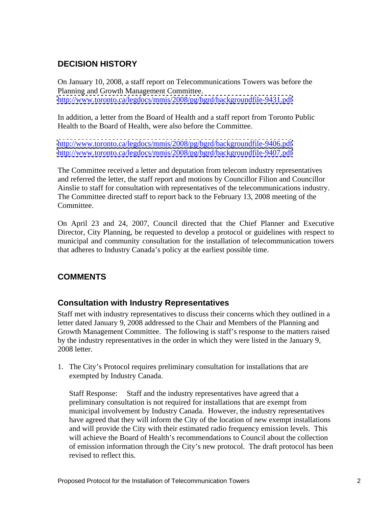### **DECISION HISTORY**

On January 10, 2008, a staff report on Telecommunications Towers was before the Planning and Growth Management Committee. <http://www.toronto.ca/legdocs/mmis/2008/pg/bgrd/backgroundfile-9431.pdf>

In addition, a letter from the Board of Health and a staff report from Toronto Public Health to the Board of Health, were also before the Committee.

<http://www.toronto.ca/legdocs/mmis/2008/pg/bgrd/backgroundfile-9406.pdf> <http://www.toronto.ca/legdocs/mmis/2008/pg/bgrd/backgroundfile-9407.pdf>

The Committee received a letter and deputation from telecom industry representatives and referred the letter, the staff report and motions by Councillor Filion and Councillor Ainslie to staff for consultation with representatives of the telecommunications industry. The Committee directed staff to report back to the February 13, 2008 meeting of the Committee.

On April 23 and 24, 2007, Council directed that the Chief Planner and Executive Director, City Planning, be requested to develop a protocol or guidelines with respect to municipal and community consultation for the installation of telecommunication towers that adheres to Industry Canada's policy at the earliest possible time.

### **COMMENTS**

### **Consultation with Industry Representatives**

Staff met with industry representatives to discuss their concerns which they outlined in a letter dated January 9, 2008 addressed to the Chair and Members of the Planning and Growth Management Committee. The following is staff's response to the matters raised by the industry representatives in the order in which they were listed in the January 9, 2008 letter.

1. The City's Protocol requires preliminary consultation for installations that are exempted by Industry Canada.

Staff Response: Staff and the industry representatives have agreed that a preliminary consultation is not required for installations that are exempt from municipal involvement by Industry Canada. However, the industry representatives have agreed that they will inform the City of the location of new exempt installations and will provide the City with their estimated radio frequency emission levels. This will achieve the Board of Health's recommendations to Council about the collection of emission information through the City's new protocol. The draft protocol has been revised to reflect this.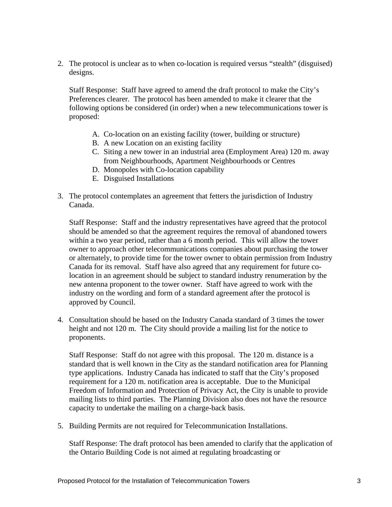2. The protocol is unclear as to when co-location is required versus "stealth" (disguised) designs.

Staff Response: Staff have agreed to amend the draft protocol to make the City's Preferences clearer. The protocol has been amended to make it clearer that the following options be considered (in order) when a new telecommunications tower is proposed: when the contract of the contract of the contract of the contract of the contract of the contract of the contract of the contract of the contract of the contract of the contract of the contract of the contract of

- A. Co-location on an existing facility (tower, building or structure)
- B. A new Location on an existing facility
- C. Siting a new tower in an industrial area (Employment Area) 120 m. away from Neighbourhoods, Apartment Neighbourhoods or Centres
- D. Monopoles with Co-location capability
- E. Disguised Installations
- 3. The protocol contemplates an agreement that fetters the jurisdiction of Industry Canada.

Staff Response: Staff and the industry representatives have agreed that the protocol should be amended so that the agreement requires the removal of abandoned towers within a two year period, rather than a 6 month period. This will allow the tower owner to approach other telecommunications companies about purchasing the tower or alternately, to provide time for the tower owner to obtain permission from Industry Canada for its removal. Staff have also agreed that any requirement for future colocation in an agreement should be subject to standard industry renumeration by the new antenna proponent to the tower owner. Staff have agreed to work with the industry on the wording and form of a standard agreement after the protocol is approved by Council. 4. Consultation should be based on the Industry Canada standard of 3 times the tower

height and not 120 m. The City should provide a mailing list for the notice to proponents.

Staff Response: Staff do not agree with this proposal. The 120 m. distance is a standard that is well known in the City as the standard notification area for Planning type applications. Industry Canada has indicated to staff that the City's proposed requirement for a 120 m. notification area is acceptable. Due to the Municipal Freedom of Information and Protection of Privacy Act, the City is unable to provide mailing lists to third parties. The Planning Division also does not have the resource capacity to undertake the mailing on a charge-back basis.

5. Building Permits are not required for Telecommunication Installations.

Staff Response: The draft protocol has been amended to clarify that the application of the Ontario Building Code is not aimed at regulating broadcasting or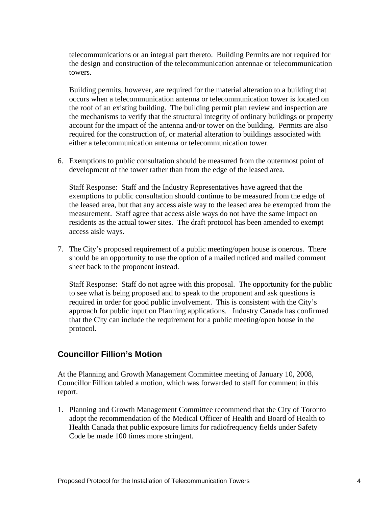telecommunications or an integral part thereto. Building Permits are not required for the design and construction of the telecommunication antennae or telecommunication towers.

Building permits, however, are required for the material alteration to a building that occurs when a telecommunication antenna or telecommunication tower is located on the roof of an existing building. The building permit plan review and inspection are the mechanisms to verify that the structural integrity of ordinary buildings or property account for the impact of the antenna and/or tower on the building. Permits are also required for the construction of, or material alteration to buildings associated with either a telecommunication antenna or telecommunication tower.

6. Exemptions to public consultation should be measured from the outermost point of development of the tower rather than from the edge of the leased area.

Staff Response: Staff and the Industry Representatives have agreed that the exemptions to public consultation should continue to be measured from the edge of the leased area, but that any access aisle way to the leased area be exempted from the measurement. Staff agree that access aisle ways do not have the same impact on residents as the actual tower sites. The draft protocol has been amended to exempt access aisle ways.

7. The City's proposed requirement of a public meeting/open house is onerous. There should be an opportunity to use the option of a mailed noticed and mailed comment sheet back to the proponent instead.

Staff Response: Staff do not agree with this proposal. The opportunity for the public to see what is being proposed and to speak to the proponent and ask questions is required in order for good public involvement. This is consistent with the City's approach for public input on Planning applications. Industry Canada has confirmed that the City can include the requirement for a public meeting/open house in the protocol.

#### **Councillor Fillion's Motion**

At the Planning and Growth Management Committee meeting of January 10, 2008, Councillor Fillion tabled a motion, which was forwarded to staff for comment in this report.

1. Planning and Growth Management Committee recommend that the City of Toronto adopt the recommendation of the Medical Officer of Health and Board of Health to Health Canada that public exposure limits for radiofrequency fields under Safety Code be made 100 times more stringent.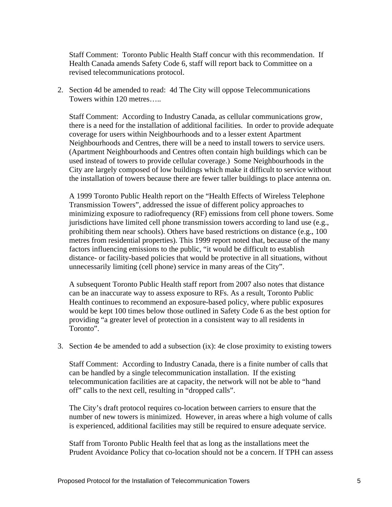Staff Comment: Toronto Public Health Staff concur with this recommendation. If Health Canada amends Safety Code 6, staff will report back to Committee on a revised telecommunications protocol.

2. Section 4d be amended to read: 4d The City will oppose Telecommunications Towers within 120 metres…..

Staff Comment: According to Industry Canada, as cellular communications grow, there is a need for the installation of additional facilities. In order to provide adequate coverage for users within Neighbourhoods and to a lesser extent Apartment Neighbourhoods and Centres, there will be a need to install towers to service users. (Apartment Neighbourhoods and Centres often contain high buildings which can be used instead of towers to provide cellular coverage.) Some Neighbourhoods in the City are largely composed of low buildings which make it difficult to service without the installation of towers because there are fewer taller buildings to place antenna on.

A 1999 Toronto Public Health report on the "Health Effects of Wireless Telephone Transmission Towers", addressed the issue of different policy approaches to minimizing exposure to radiofrequency (RF) emissions from cell phone towers. Some jurisdictions have limited cell phone transmission towers according to land use (e.g., prohibiting them near schools). Others have based restrictions on distance (e.g., 100 metres from residential properties). This 1999 report noted that, because of the many factors influencing emissions to the public, "it would be difficult to establish distance- or facility-based policies that would be protective in all situations, without unnecessarily limiting (cell phone) service in many areas of the City".

A subsequent Toronto Public Health staff report from 2007 also notes that distance can be an inaccurate way to assess exposure to RFs. As a result, Toronto Public Health continues to recommend an exposure-based policy, where public exposures would be kept 100 times below those outlined in Safety Code 6 as the best option for providing "a greater level of protection in a consistent way to all residents in Toronto".

3. Section 4e be amended to add a subsection (ix): 4e close proximity to existing towers

Staff Comment: According to Industry Canada, there is a finite number of calls that can be handled by a single telecommunication installation. If the existing telecommunication facilities are at capacity, the network will not be able to "hand off" calls to the next cell, resulting in "dropped calls".

The City's draft protocol requires co-location between carriers to ensure that the number of new towers is minimized. However, in areas where a high volume of calls is experienced, additional facilities may still be required to ensure adequate service.

Staff from Toronto Public Health feel that as long as the installations meet the Prudent Avoidance Policy that co-location should not be a concern. If TPH can assess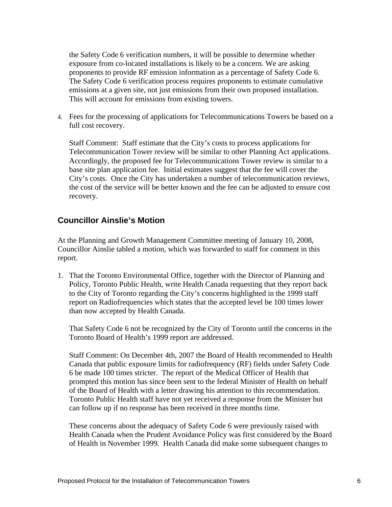the Safety Code 6 verification numbers, it will be possible to determine whether exposure from co-located installations is likely to be a concern. We are asking proponents to provide RF emission information as a percentage of Safety Code 6. The Safety Code 6 verification process requires proponents to estimate cumulative emissions at a given site, not just emissions from their own proposed installation. This will account for emissions from existing towers.

4. Fees for the processing of applications for Telecommunications Towers be based on a full cost recovery.

Staff Comment: Staff estimate that the City's costs to process applications for Telecommunication Tower review will be similar to other Planning Act applications. Accordingly, the proposed fee for Telecommunications Tower review is similar to a base site plan application fee. Initial estimates suggest that the fee will cover the City's costs. Once the City has undertaken a number of telecommunication reviews, the cost of the service will be better known and the fee can be adjusted to ensure cost recovery.

#### **Councillor Ainslie's Motion**

At the Planning and Growth Management Committee meeting of January 10, 2008, Councillor Ainslie tabled a motion, which was forwarded to staff for comment in this report.

1. That the Toronto Environmental Office, together with the Director of Planning and Policy, Toronto Public Health, write Health Canada requesting that they report back to the City of Toronto regarding the City's concerns highlighted in the 1999 staff report on Radiofrequencies which states that the accepted level be 100 times lower than now accepted by Health Canada.

That Safety Code 6 not be recognized by the City of Toronto until the concerns in the Toronto Board of Health's 1999 report are addressed.

Staff Comment: On December 4th, 2007 the Board of Health recommended to Health Canada that public exposure limits for radiofrequency (RF) fields under Safety Code 6 be made 100 times stricter. The report of the Medical Officer of Health that prompted this motion has since been sent to the federal Minister of Health on behalf of the Board of Health with a letter drawing his attention to this recommendation. Toronto Public Health staff have not yet received a response from the Minister but can follow up if no response has been received in three months time.

These concerns about the adequacy of Safety Code 6 were previously raised with Health Canada when the Prudent Avoidance Policy was first considered by the Board of Health in November 1999. Health Canada did make some subsequent changes to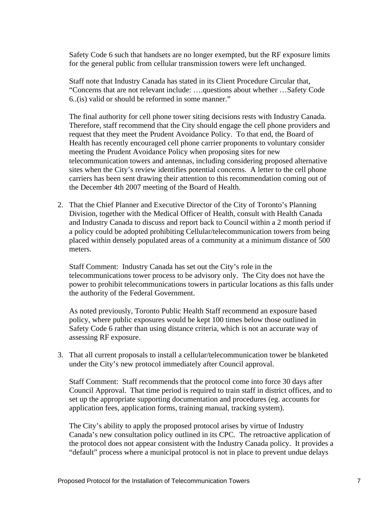Safety Code 6 such that handsets are no longer exempted, but the RF exposure limits for the general public from cellular transmission towers were left unchanged.

Staff note that Industry Canada has stated in its Client Procedure Circular that, "Concerns that are not relevant include: ….questions about whether …Safety Code 6..(is) valid or should be reformed in some manner."

The final authority for cell phone tower siting decisions rests with Industry Canada. Therefore, staff recommend that the City should engage the cell phone providers and request that they meet the Prudent Avoidance Policy. To that end, the Board of Health has recently encouraged cell phone carrier proponents to voluntary consider meeting the Prudent Avoidance Policy when proposing sites for new telecommunication towers and antennas, including considering proposed alternative sites when the City's review identifies potential concerns. A letter to the cell phone carriers has been sent drawing their attention to this recommendation coming out of

the December 4th 2007 meeting of the Board of Health. 2. That the Chief Planner and Executive Director of the City of Toronto's Planning Division, together with the Medical Officer of Health, consult with Health Canada and Industry Canada to discuss and report back to Council within a 2 month period if a policy could be adopted prohibiting Cellular/telecommunication towers from being placed within densely populated areas of a community at a minimum distance of 500 meters.

Staff Comment: Industry Canada has set out the City's role in the telecommunications tower process to be advisory only. The City does not have the power to prohibit telecommunications towers in particular locations as this falls under the authority of the Federal Government.

As noted previously, Toronto Public Health Staff recommend an exposure based policy, where public exposures would be kept 100 times below those outlined in Safety Code 6 rather than using distance criteria, which is not an accurate way of assessing RF exposure.

3. That all current proposals to install a cellular/telecommunication tower be blanketed under the City's new protocol immediately after Council approval.

Staff Comment: Staff recommends that the protocol come into force 30 days after Council Approval. That time period is required to train staff in district offices, and to set up the appropriate supporting documentation and procedures (eg. accounts for application fees, application forms, training manual, tracking system).

The City's ability to apply the proposed protocol arises by virtue of Industry Canada's new consultation policy outlined in its CPC. The retroactive application of the protocol does not appear consistent with the Industry Canada policy. It provides a "default" process where a municipal protocol is not in place to prevent undue delays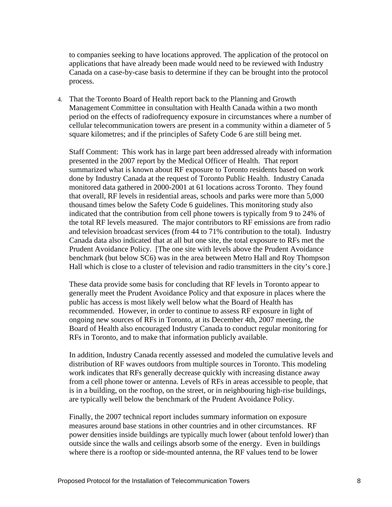to companies seeking to have locations approved. The application of the protocol on applications that have already been made would need to be reviewed with Industry Canada on a case-by-case basis to determine if they can be brought into the protocol process.

4. That the Toronto Board of Health report back to the Planning and Growth Management Committee in consultation with Health Canada within a two month period on the effects of radiofrequency exposure in circumstances where a number of cellular telecommunication towers are present in a community within a diameter of 5 square kilometres; and if the principles of Safety Code 6 are still being met.

Staff Comment: This work has in large part been addressed already with information presented in the 2007 report by the Medical Officer of Health. That report summarized what is known about RF exposure to Toronto residents based on work done by Industry Canada at the request of Toronto Public Health. Industry Canada monitored data gathered in 2000-2001 at 61 locations across Toronto. They found that overall, RF levels in residential areas, schools and parks were more than 5,000 thousand times below the Safety Code 6 guidelines. This monitoring study also indicated that the contribution from cell phone towers is typically from 9 to 24% of the total RF levels measured. The major contributors to RF emissions are from radio and television broadcast services (from 44 to 71% contribution to the total). Industry Canada data also indicated that at all but one site, the total exposure to RFs met the Prudent Avoidance Policy. [The one site with levels above the Prudent Avoidance benchmark (but below SC6) was in the area between Metro Hall and Roy Thompson Hall which is close to a cluster of television and radio transmitters in the city's core.]

These data provide some basis for concluding that RF levels in Toronto appear to generally meet the Prudent Avoidance Policy and that exposure in places where the public has access is most likely well below what the Board of Health has recommended. However, in order to continue to assess RF exposure in light of ongoing new sources of RFs in Toronto, at its December 4th, 2007 meeting, the Board of Health also encouraged Industry Canada to conduct regular monitoring for RFs in Toronto, and to make that information publicly available.

In addition, Industry Canada recently assessed and modeled the cumulative levels and distribution of RF waves outdoors from multiple sources in Toronto. This modeling work indicates that RFs generally decrease quickly with increasing distance away from a cell phone tower or antenna. Levels of RFs in areas accessible to people, that is in a building, on the rooftop, on the street, or in neighbouring high-rise buildings, are typically well below the benchmark of the Prudent Avoidance Policy.

Finally, the 2007 technical report includes summary information on exposure measures around base stations in other countries and in other circumstances. RF power densities inside buildings are typically much lower (about tenfold lower) than outside since the walls and ceilings absorb some of the energy. Even in buildings where there is a rooftop or side-mounted antenna, the RF values tend to be lower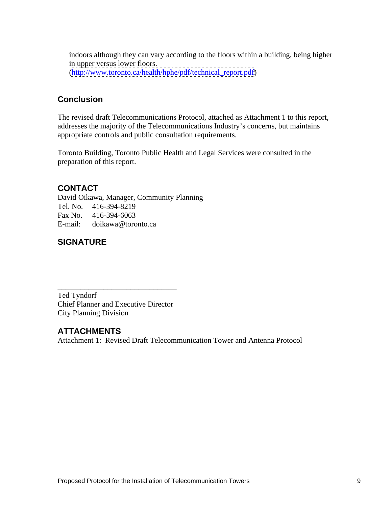indoors although they can vary according to the floors within a building, being higher in upper versus lower floors. [\(http://www.toronto.ca/health/hphe/pdf/technical\\_report.pdf](http://www.toronto.ca/health/hphe/pdf/technical_report.pdf))

#### **Conclusion**

The revised draft Telecommunications Protocol, attached as Attachment 1 to this report, addresses the majority of the Telecommunications Industry's concerns, but maintains appropriate controls and public consultation requirements.

Toronto Building, Toronto Public Health and Legal Services were consulted in the preparation of this report.

## **CONTACT**

David Oikawa, Manager, Community Planning Tel. No. 416-394-8219 Fax No. 416-394-6063 E-mail: doikawa@toronto.ca

# **SIGNATURE**

Ted Tyndorf Chief Planner and Executive Director City Planning Division

#### **ATTACHMENTS**

Attachment 1: Revised Draft Telecommunication Tower and Antenna Protocol

 $\overline{\phantom{a}}$  , we can assume that the contract of  $\overline{\phantom{a}}$  , we can assume that the contract of  $\overline{\phantom{a}}$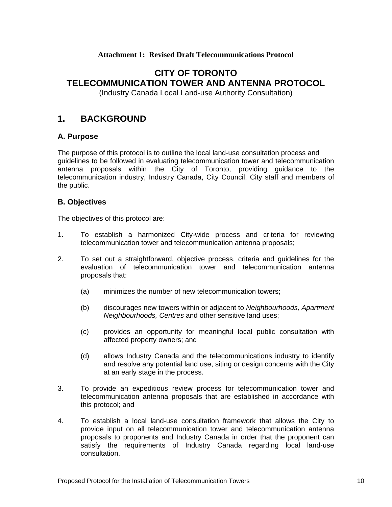#### **Attachment 1: Revised Draft Telecommunications Protocol**

# **CITY OF TORONTO TELECOMMUNICATION TOWER AND ANTENNA PROTOCOL**

(Industry Canada Local Land-use Authority Consultation)

# **1. BACKGROUND**

#### **A. Purpose**

The purpose of this protocol is to outline the local land-use consultation process and guidelines to be followed in evaluating telecommunication tower and telecommunication antenna proposals within the City of Toronto, providing guidance to the telecommunication industry, Industry Canada, City Council, City staff and members of the public.

#### **B. Objectives**

The objectives of this protocol are:

- 1. To establish a harmonized City-wide process and criteria for reviewing telecommunication tower and telecommunication antenna proposals;
- 2. To set out a straightforward, objective process, criteria and guidelines for the evaluation of telecommunication tower and telecommunication antenna proposals that:
	- (a) minimizes the number of new telecommunication towers;
	- (b) discourages new towers within or adjacent to Neighbourhoods, Apartment Neighbourhoods, Centres and other sensitive land uses;
	- (c) provides an opportunity for meaningful local public consultation with affected property owners; and
	- (d) allows Industry Canada and the telecommunications industry to identify and resolve any potential land use, siting or design concerns with the City at an early stage in the process.
- 3. To provide an expeditious review process for telecommunication tower and telecommunication antenna proposals that are established in accordance with this protocol; and
- 4. To establish a local land-use consultation framework that allows the City to provide input on all telecommunication tower and telecommunication antenna proposals to proponents and Industry Canada in order that the proponent can satisfy the requirements of Industry Canada regarding local land-use consultation.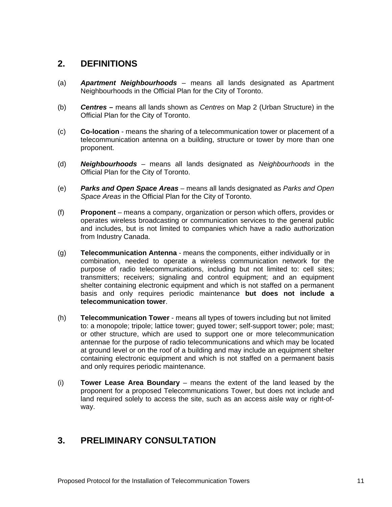### **2. DEFINITIONS**

- (a) **Apartment Neighbourhoods** means all lands designated as Apartment Neighbourhoods in the Official Plan for the City of Toronto.
- (b) **Centres –** means all lands shown as Centres on Map 2 (Urban Structure) in the Official Plan for the City of Toronto.
- (c) **Co-location** means the sharing of a telecommunication tower or placement of a telecommunication antenna on a building, structure or tower by more than one proponent.
- (d) **Neighbourhoods** means all lands designated as Neighbourhoods in the Official Plan for the City of Toronto.
- (e) **Parks and Open Space Areas** means all lands designated as Parks and Open Space Areas in the Official Plan for the City of Toronto.
- (f) **Proponent**  means a company, organization or person which offers, provides or operates wireless broadcasting or communication services to the general public and includes, but is not limited to companies which have a radio authorization from Industry Canada.
- (g) **Telecommunication Antenna**  means the components, either individually or in combination, needed to operate a wireless communication network for the purpose of radio telecommunications, including but not limited to: cell sites; transmitters; receivers; signaling and control equipment; and an equipment shelter containing electronic equipment and which is not staffed on a permanent basis and only requires periodic maintenance **but does not include a telecommunication tower**.
- (h) **Telecommunication Tower**  means all types of towers including but not limited to: a monopole; tripole; lattice tower; guyed tower; self-support tower; pole; mast; or other structure, which are used to support one or more telecommunication antennae for the purpose of radio telecommunications and which may be located at ground level or on the roof of a building and may include an equipment shelter containing electronic equipment and which is not staffed on a permanent basis and only requires periodic maintenance.
- (i) **Tower Lease Area Boundary** means the extent of the land leased by the proponent for a proposed Telecommunications Tower, but does not include and land required solely to access the site, such as an access aisle way or right-of way.

# **3. PRELIMINARY CONSULTATION**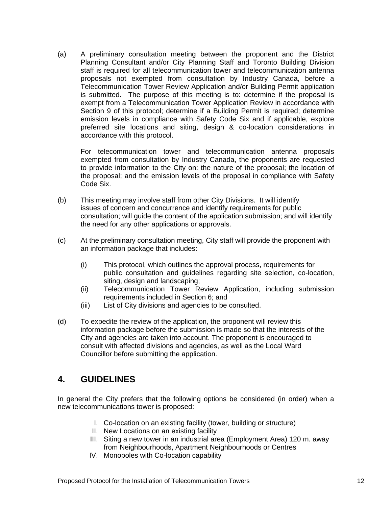(a) A preliminary consultation meeting between the proponent and the District Planning Consultant and/or City Planning Staff and Toronto Building Division staff is required for all telecommunication tower and telecommunication antenna proposals not exempted from consultation by Industry Canada, before a Telecommunication Tower Review Application and/or Building Permit application is submitted. The purpose of this meeting is to: determine if the proposal is exempt from a Telecommunication Tower Application Review in accordance with Section 9 of this protocol; determine if a Building Permit is required; determine emission levels in compliance with Safety Code Six and if applicable, explore preferred site locations and siting, design & co-location considerations in accordance with this protocol.

For telecommunication tower and telecommunication antenna proposals exempted from consultation by Industry Canada, the proponents are requested to provide information to the City on: the nature of the proposal; the location of the proposal; and the emission levels of the proposal in compliance with Safety Code Six.

- (b) This meeting may involve staff from other City Divisions. It will identify issues of concern and concurrence and identify requirements for public consultation; will guide the content of the application submission; and will identify the need for any other applications or approvals.
- (c) At the preliminary consultation meeting, City staff will provide the proponent with an information package that includes:
	- (i) This protocol, which outlines the approval process, requirements for public consultation and guidelines regarding site selection, co-location, siting, design and landscaping;
	- (ii) Telecommunication Tower Review Application, including submission requirements included in Section 6; and
	- (iii) List of City divisions and agencies to be consulted.
- (d) To expedite the review of the application, the proponent will review this information package before the submission is made so that the interests of the City and agencies are taken into account. The proponent is encouraged to consult with affected divisions and agencies, as well as the Local Ward Councillor before submitting the application.

### **4. GUIDELINES**

In general the City prefers that the following options be considered (in order) when a new telecommunications tower is proposed:

- I. Co-location on an existing facility (tower, building or structure)
- II. New Locations on an existing facility
- III. Siting a new tower in an industrial area (Employment Area) 120 m. away from Neighbourhoods, Apartment Neighbourhoods or Centres
- IV. Monopoles with Co-location capability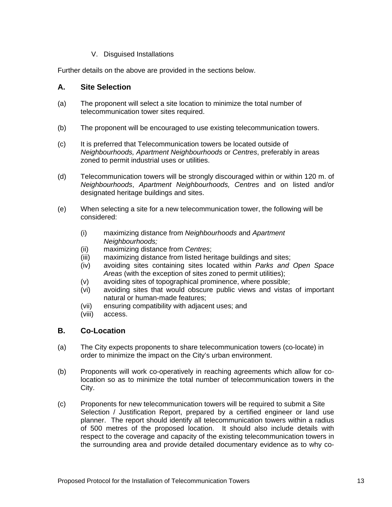#### V. Disguised Installations

Further details on the above are provided in the sections below.

#### **A. Site Selection**

- (a) The proponent will select a site location to minimize the total number of telecommunication tower sites required.
- (b) The proponent will be encouraged to use existing telecommunication towers.
- (c) It is preferred that Telecommunication towers be located outside of Neighbourhoods, Apartment Neighbourhoods or Centres, preferably in areas zoned to permit industrial uses or utilities.
- (d) Telecommunication towers will be strongly discouraged within or within 120 m. of Neighbourhoods, Apartment Neighbourhoods, Centres and on listed and/or designated heritage buildings and sites.
- (e) When selecting a site for a new telecommunication tower, the following will be considered:
	- (i) maximizing distance from Neighbourhoods and Apartment Neighbourhoods;
	- (ii) maximizing distance from Centres;
	- (iii) maximizing distance from listed heritage buildings and sites;
	- (iv) avoiding sites containing sites located within Parks and Open Space Areas (with the exception of sites zoned to permit utilities);
	- (v) avoiding sites of topographical prominence, where possible;
	- (vi) avoiding sites that would obscure public views and vistas of important natural or human-made features;
	- (vii) ensuring compatibility with adjacent uses; and
	- (viii) access.

#### **B. Co-Location**

- (a) The City expects proponents to share telecommunication towers (co-locate) in order to minimize the impact on the City's urban environment.
- (b) Proponents will work co-operatively in reaching agreements which allow for colocation so as to minimize the total number of telecommunication towers in the City.
- (c) Proponents for new telecommunication towers will be required to submit a Site Selection / Justification Report, prepared by a certified engineer or land use planner. The report should identify all telecommunication towers within a radius of 500 metres of the proposed location. It should also include details with respect to the coverage and capacity of the existing telecommunication towers in the surrounding area and provide detailed documentary evidence as to why co-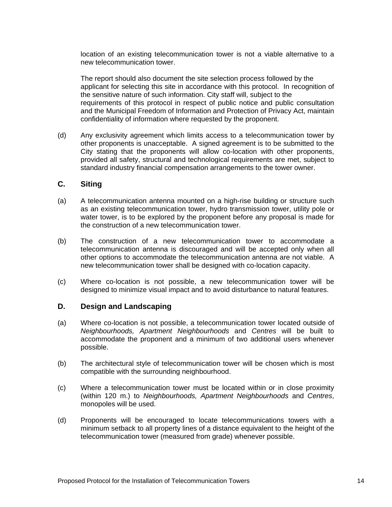location of an existing telecommunication tower is not a viable alternative to a new telecommunication tower.

The report should also document the site selection process followed by the applicant for selecting this site in accordance with this protocol. In recognition of the sensitive nature of such information. City staff will, subject to the requirements of this protocol in respect of public notice and public consultation and the Municipal Freedom of Information and Protection of Privacy Act, maintain confidentiality of information where requested by the proponent.

(d) Any exclusivity agreement which limits access to a telecommunication tower by other proponents is unacceptable. A signed agreement is to be submitted to the City stating that the proponents will allow co-location with other proponents, provided all safety, structural and technological requirements are met, subject to standard industry financial compensation arrangements to the tower owner.

#### **C. Siting**

- (a) A telecommunication antenna mounted on a high-rise building or structure such as an existing telecommunication tower, hydro transmission tower, utility pole or water tower, is to be explored by the proponent before any proposal is made for the construction of a new telecommunication tower.
- (b) The construction of a new telecommunication tower to accommodate a telecommunication antenna is discouraged and will be accepted only when all other options to accommodate the telecommunication antenna are not viable. A new telecommunication tower shall be designed with co-location capacity.
- (c) Where co-location is not possible, a new telecommunication tower will be designed to minimize visual impact and to avoid disturbance to natural features.

#### **D. Design and Landscaping**

- (a) Where co-location is not possible, a telecommunication tower located outside of Neighbourhoods, Apartment Neighbourhoods and Centres will be built to accommodate the proponent and a minimum of two additional users whenever possible. The contract of the contract of the contract of the contract of the contract of the contract of the contract of the contract of the contract of the contract of the contract of the contract of the contract of the
- (b) The architectural style of telecommunication tower will be chosen which is most compatible with the surrounding neighbourhood.
- (c) Where a telecommunication tower must be located within or in close proximity (within 120 m.) to Neighbourhoods, Apartment Neighbourhoods and Centres, monopoles will be used.
- (d) Proponents will be encouraged to locate telecommunications towers with a minimum setback to all property lines of a distance equivalent to the height of the telecommunication tower (measured from grade) whenever possible.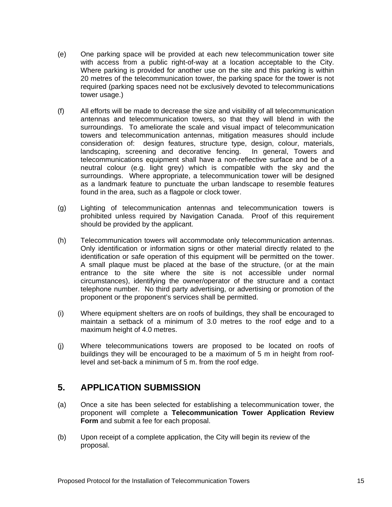- (e) One parking space will be provided at each new telecommunication tower site with access from a public right-of-way at a location acceptable to the City. Where parking is provided for another use on the site and this parking is within 20 metres of the telecommunication tower, the parking space for the tower is not required (parking spaces need not be exclusively devoted to telecommunications tower usage.)
- (f) All efforts will be made to decrease the size and visibility of all telecommunication antennas and telecommunication towers, so that they will blend in with the surroundings. To ameliorate the scale and visual impact of telecommunication towers and telecommunication antennas, mitigation measures should include consideration of: design features, structure type, design, colour, materials, landscaping, screening and decorative fencing. In general, Towers and telecommunications equipment shall have a non-reflective surface and be of a neutral colour (e.g. light grey) which is compatible with the sky and the surroundings. Where appropriate, a telecommunication tower will be designed as a landmark feature to punctuate the urban landscape to resemble features found in the area, such as a flagpole or clock tower.
- (g) Lighting of telecommunication antennas and telecommunication towers is prohibited unless required by Navigation Canada. Proof of this requirement should be provided by the applicant.
- (h) Telecommunication towers will accommodate only telecommunication antennas. Only identification or information signs or other material directly related to the identification or safe operation of this equipment will be permitted on the tower. A small plaque must be placed at the base of the structure, (or at the main entrance to the site where the site is not accessible under normal circumstances), identifying the owner/operator of the structure and a contact telephone number. No third party advertising, or advertising or promotion of the proponent or the proponent's services shall be permitted.
- (i) Where equipment shelters are on roofs of buildings, they shall be encouraged to maintain a setback of a minimum of 3.0 metres to the roof edge and to a maximum height of 4.0 metres.
- (j) Where telecommunications towers are proposed to be located on roofs of buildings they will be encouraged to be a maximum of 5 m in height from rooflevel and set-back a minimum of 5 m. from the roof edge.

## **5. APPLICATION SUBMISSION**

- (a) Once a site has been selected for establishing a telecommunication tower, the proponent will complete a **Telecommunication Tower Application Review Form** and submit a fee for each proposal.
- (b) Upon receipt of a complete application, the City will begin its review of the proposal.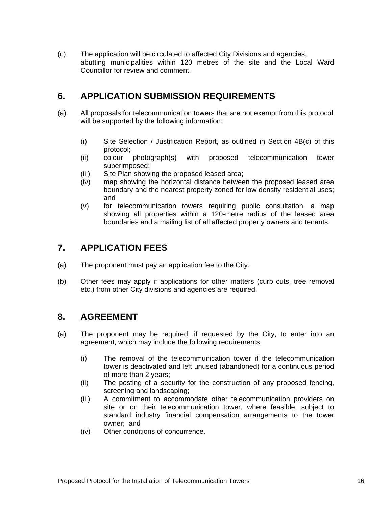(c) The application will be circulated to affected City Divisions and agencies, abutting municipalities within 120 metres of the site and the Local Ward Councillor for review and comment.

# **6. APPLICATION SUBMISSION REQUIREMENTS**

- (a) All proposals for telecommunication towers that are not exempt from this protocol will be supported by the following information:
	- (i) Site Selection / Justification Report, as outlined in Section 4B(c) of this protocol;
	- (ii) colour photograph(s) with proposed telecommunication tower superimposed;
	- (iii) Site Plan showing the proposed leased area;
	- (iv) map showing the horizontal distance between the proposed leased area boundary and the nearest property zoned for low density residential uses; and
	- (v) for telecommunication towers requiring public consultation, a map showing all properties within a 120-metre radius of the leased area boundaries and a mailing list of all affected property owners and tenants.

# **7. APPLICATION FEES**

- (a) The proponent must pay an application fee to the City.
- (b) Other fees may apply if applications for other matters (curb cuts, tree removal etc.) from other City divisions and agencies are required.

### **8. AGREEMENT**

- (a) The proponent may be required, if requested by the City, to enter into an agreement, which may include the following requirements:
	- (i) The removal of the telecommunication tower if the telecommunication tower is deactivated and left unused (abandoned) for a continuous period of more than 2 years;
	- (ii) The posting of a security for the construction of any proposed fencing, screening and landscaping;
	- (iii) A commitment to accommodate other telecommunication providers on site or on their telecommunication tower, where feasible, subject to standard industry financial compensation arrangements to the tower owner; and
	- (iv) Other conditions of concurrence.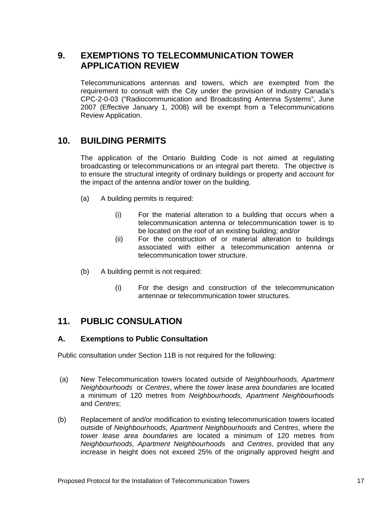# **9. EXEMPTIONS TO TELECOMMUNICATION TOWER APPLICATION REVIEW**

Telecommunications antennas and towers, which are exempted from the requirement to consult with the City under the provision of Industry Canada's CPC-2-0-03 ("Radiocommunication and Broadcasting Antenna Systems", June 2007 (Effective January 1, 2008) will be exempt from a Telecommunications Review Application.

#### **10. BUILDING PERMITS**

The application of the Ontario Building Code is not aimed at regulating broadcasting or telecommunications or an integral part thereto. The objective is to ensure the structural integrity of ordinary buildings or property and account for the impact of the antenna and/or tower on the building.

- (a) A building permits is required:
	- (i) For the material alteration to a building that occurs when a telecommunication antenna or telecommunication tower is to be located on the roof of an existing building; and/or
	- (ii) For the construction of or material alteration to buildings associated with either a telecommunication antenna or telecommunication tower structure.
- (b) A building permit is not required:
	- (i) For the design and construction of the telecommunication antennae or telecommunication tower structures.

### **11. PUBLIC CONSULATION**

#### **A. Exemptions to Public Consultation**

Public consultation under Section 11B is not required for the following:

- (a) New Telecommunication towers located outside of Neighbourhoods, Apartment Neighbourhoods or Centres, where the tower lease area boundaries are located a minimum of 120 metres from Neighbourhoods, Apartment Neighbourhoods and Centres; example and control of the state of the state of the state of the state of the state of the state of the state of the state of the state of the state of the state of the state of the state of the state of the
- (b) Replacement of and/or modification to existing telecommunication towers located outside of Neighbourhoods, Apartment Neighbourhoods and Centres, where the tower lease area boundaries are located a minimum of 120 metres from Neighbourhoods, Apartment Neighbourhoods and Centres, provided that any increase in height does not exceed 25% of the originally approved height and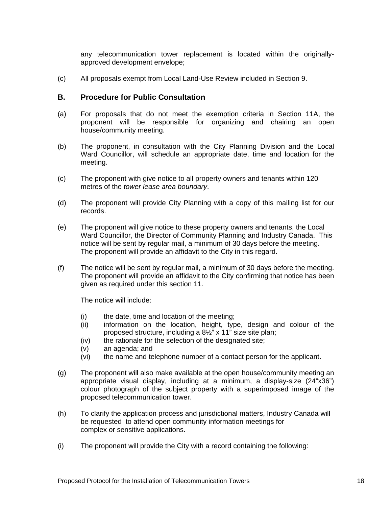any telecommunication tower replacement is located within the originally approved development envelope;

(c) All proposals exempt from Local Land-Use Review included in Section 9.

#### **B. Procedure for Public Consultation**

- (a) For proposals that do not meet the exemption criteria in Section 11A, the proponent will be responsible for organizing and chairing an open house/community meeting.
- (b) The proponent, in consultation with the City Planning Division and the Local Ward Councillor, will schedule an appropriate date, time and location for the meeting.
- (c) The proponent with give notice to all property owners and tenants within 120 metres of the tower lease area boundary.
- (d) The proponent will provide City Planning with a copy of this mailing list for our records. The contract of the contract of the contract of the contract of the contract of the contract of the contract of the contract of the contract of the contract of the contract of the contract of the contract of the c
- (e) The proponent will give notice to these property owners and tenants, the Local Ward Councillor, the Director of Community Planning and Industry Canada. This notice will be sent by regular mail, a minimum of 30 days before the meeting. The proponent will provide an affidavit to the City in this regard.
- (f) The notice will be sent by regular mail, a minimum of 30 days before the meeting. The proponent will provide an affidavit to the City confirming that notice has been given as required under this section 11.

The notice will include:

- (i) the date, time and location of the meeting;
- (ii) information on the location, height, type, design and colour of the proposed structure, including a 8½" x 11" size site plan;
- (iv) the rationale for the selection of the designated site;
- (v) an agenda; and
- (vi) the name and telephone number of a contact person for the applicant.
- (g) The proponent will also make available at the open house/community meeting an appropriate visual display, including at a minimum, a display-size (24"x36") colour photograph of the subject property with a superimposed image of the proposed telecommunication tower.
- (h) To clarify the application process and jurisdictional matters, Industry Canada will be requested to attend open community information meetings for complex or sensitive applications.
- (i) The proponent will provide the City with a record containing the following: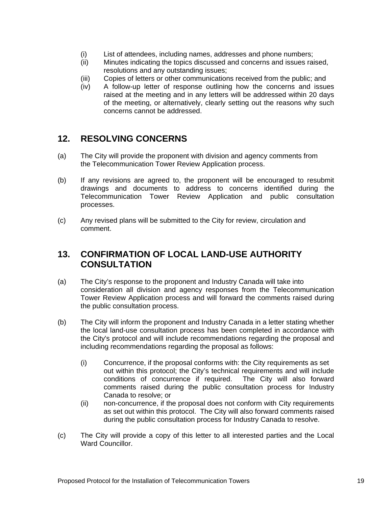- (i) List of attendees, including names, addresses and phone numbers;
- (ii) Minutes indicating the topics discussed and concerns and issues raised, resolutions and any outstanding issues;
- (iii) Copies of letters or other communications received from the public; and
- (iv) A follow-up letter of response outlining how the concerns and issues raised at the meeting and in any letters will be addressed within 20 days of the meeting, or alternatively, clearly setting out the reasons why such concerns cannot be addressed.

### **12. RESOLVING CONCERNS**

- (a) The City will provide the proponent with division and agency comments from the Telecommunication Tower Review Application process.
- (b) If any revisions are agreed to, the proponent will be encouraged to resubmit drawings and documents to address to concerns identified during the Telecommunication Tower Review Application and public consultation processes. The contract of the contract of the contract of the contract of the contract of the contract of the contract of the contract of the contract of the contract of the contract of the contract of the contract of the
- (c) Any revised plans will be submitted to the City for review, circulation and comment.

# **13. CONFIRMATION OF LOCAL LAND-USE AUTHORITY CONSULTATION**

- (a) The City's response to the proponent and Industry Canada will take into consideration all division and agency responses from the Telecommunication Tower Review Application process and will forward the comments raised during the public consultation process.
- (b) The City will inform the proponent and Industry Canada in a letter stating whether the local land-use consultation process has been completed in accordance with the City's protocol and will include recommendations regarding the proposal and including recommendations regarding the proposal as follows:
	- (i) Concurrence, if the proposal conforms with: the City requirements as set out within this protocol; the City's technical requirements and will include conditions of concurrence if required. The City will also forward comments raised during the public consultation process for Industry Canada to resolve; or
	- (ii) non-concurrence, if the proposal does not conform with City requirements as set out within this protocol. The City will also forward comments raised during the public consultation process for Industry Canada to resolve.
- (c) The City will provide a copy of this letter to all interested parties and the Local Ward Councillor.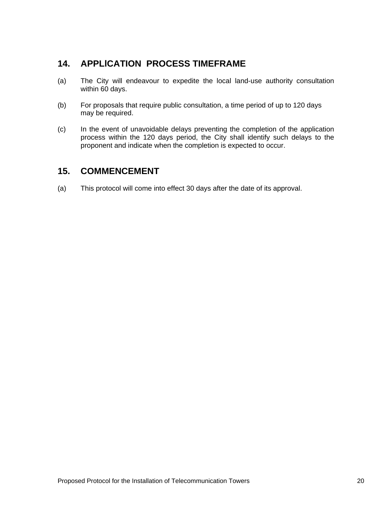# **14. APPLlCATION PROCESS TIMEFRAME**

- (a) The City will endeavour to expedite the local land-use authority consultation within 60 days.
- (b) For proposals that require public consultation, a time period of up to 120 days may be required.
- (c) In the event of unavoidable delays preventing the completion of the application process within the 120 days period, the City shall identify such delays to the proponent and indicate when the completion is expected to occur.

### **15. COMMENCEMENT**

(a) This protocol will come into effect 30 days after the date of its approval.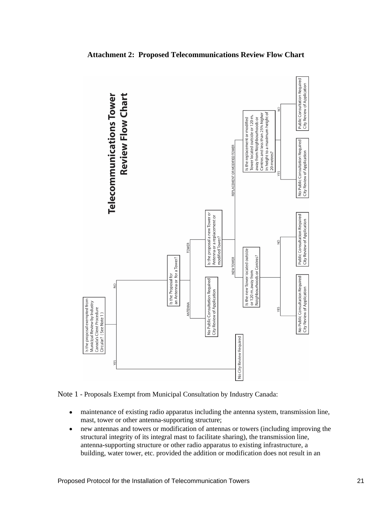

**Attachment 2: Proposed Telecommunications Review Flow Chart**



- maintenance of existing radio apparatus including the antenna system, transmission line,  $\bullet$ mast, tower or other antenna-supporting structure;
- $\bullet$ new antennas and towers or modification of antennas or towers (including improving the structural integrity of its integral mast to facilitate sharing), the transmission line, antenna-supporting structure or other radio apparatus to existing infrastructure, a building, water tower, etc. provided the addition or modification does not result in an